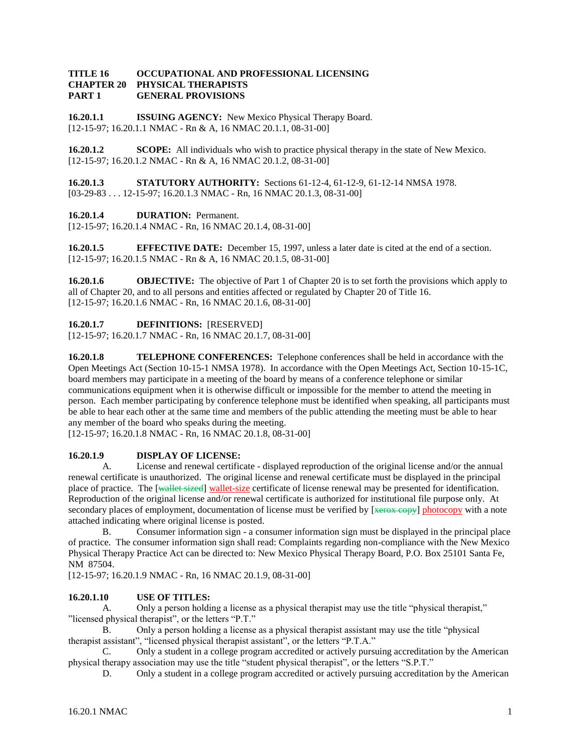#### **TITLE 16 OCCUPATIONAL AND PROFESSIONAL LICENSING CHAPTER 20 PHYSICAL THERAPISTS PART 1 GENERAL PROVISIONS**

**16.20.1.1 ISSUING AGENCY:** New Mexico Physical Therapy Board. [12-15-97; 16.20.1.1 NMAC - Rn & A, 16 NMAC 20.1.1, 08-31-00]

**16.20.1.2 SCOPE:** All individuals who wish to practice physical therapy in the state of New Mexico. [12-15-97; 16.20.1.2 NMAC - Rn & A, 16 NMAC 20.1.2, 08-31-00]

**16.20.1.3 STATUTORY AUTHORITY:** Sections 61-12-4, 61-12-9, 61-12-14 NMSA 1978. [03-29-83 . . . 12-15-97; 16.20.1.3 NMAC - Rn, 16 NMAC 20.1.3, 08-31-00]

## **16.20.1.4 DURATION:** Permanent.

[12-15-97; 16.20.1.4 NMAC - Rn, 16 NMAC 20.1.4, 08-31-00]

**16.20.1.5 EFFECTIVE DATE:** December 15, 1997, unless a later date is cited at the end of a section. [12-15-97; 16.20.1.5 NMAC - Rn & A, 16 NMAC 20.1.5, 08-31-00]

**16.20.1.6 OBJECTIVE:** The objective of Part 1 of Chapter 20 is to set forth the provisions which apply to all of Chapter 20, and to all persons and entities affected or regulated by Chapter 20 of Title 16. [12-15-97; 16.20.1.6 NMAC - Rn, 16 NMAC 20.1.6, 08-31-00]

**16.20.1.7 DEFINITIONS:** [RESERVED]

[12-15-97; 16.20.1.7 NMAC - Rn, 16 NMAC 20.1.7, 08-31-00]

**16.20.1.8 TELEPHONE CONFERENCES:** Telephone conferences shall be held in accordance with the Open Meetings Act (Section 10-15-1 NMSA 1978). In accordance with the Open Meetings Act, Section 10-15-1C, board members may participate in a meeting of the board by means of a conference telephone or similar communications equipment when it is otherwise difficult or impossible for the member to attend the meeting in person. Each member participating by conference telephone must be identified when speaking, all participants must be able to hear each other at the same time and members of the public attending the meeting must be able to hear any member of the board who speaks during the meeting.

[12-15-97; 16.20.1.8 NMAC - Rn, 16 NMAC 20.1.8, 08-31-00]

## **16.20.1.9 DISPLAY OF LICENSE:**

A. License and renewal certificate - displayed reproduction of the original license and/or the annual renewal certificate is unauthorized. The original license and renewal certificate must be displayed in the principal place of practice. The [wallet sized] wallet-size certificate of license renewal may be presented for identification. Reproduction of the original license and/or renewal certificate is authorized for institutional file purpose only. At secondary places of employment, documentation of license must be verified by [xerox copy] photocopy with a note attached indicating where original license is posted.

B. Consumer information sign - a consumer information sign must be displayed in the principal place of practice. The consumer information sign shall read: Complaints regarding non-compliance with the New Mexico Physical Therapy Practice Act can be directed to: New Mexico Physical Therapy Board, P.O. Box 25101 Santa Fe, NM 87504.

[12-15-97; 16.20.1.9 NMAC - Rn, 16 NMAC 20.1.9, 08-31-00]

## **16.20.1.10 USE OF TITLES:**

A. Only a person holding a license as a physical therapist may use the title "physical therapist," "licensed physical therapist", or the letters "P.T."

B. Only a person holding a license as a physical therapist assistant may use the title "physical therapist assistant", "licensed physical therapist assistant", or the letters "P.T.A."

C. Only a student in a college program accredited or actively pursuing accreditation by the American physical therapy association may use the title "student physical therapist", or the letters "S.P.T."

D. Only a student in a college program accredited or actively pursuing accreditation by the American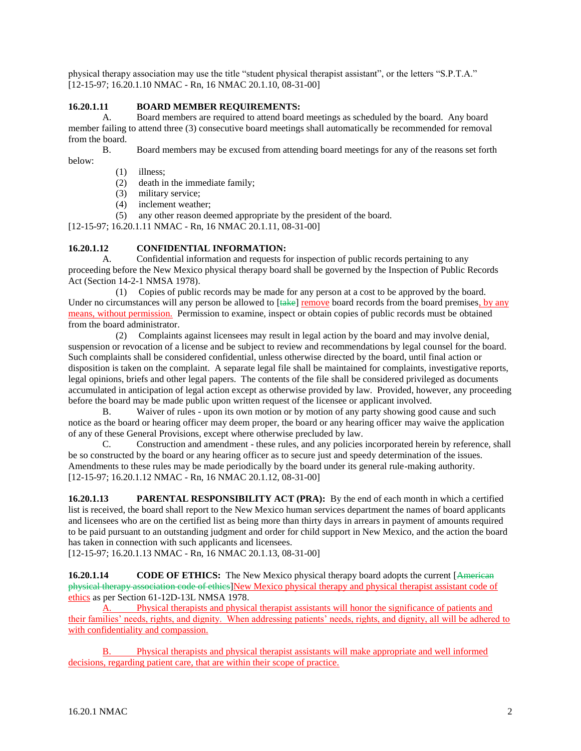physical therapy association may use the title "student physical therapist assistant", or the letters "S.P.T.A." [12-15-97; 16.20.1.10 NMAC - Rn, 16 NMAC 20.1.10, 08-31-00]

# **16.20.1.11 BOARD MEMBER REQUIREMENTS:**

A. Board members are required to attend board meetings as scheduled by the board. Any board member failing to attend three (3) consecutive board meetings shall automatically be recommended for removal from the board.

B. Board members may be excused from attending board meetings for any of the reasons set forth below:

(1) illness;

(2) death in the immediate family;

- (3) military service;
- (4) inclement weather;

(5) any other reason deemed appropriate by the president of the board.

[12-15-97; 16.20.1.11 NMAC - Rn, 16 NMAC 20.1.11, 08-31-00]

# **16.20.1.12 CONFIDENTIAL INFORMATION:**

A. Confidential information and requests for inspection of public records pertaining to any proceeding before the New Mexico physical therapy board shall be governed by the Inspection of Public Records Act (Section 14-2-1 NMSA 1978).

 (1) Copies of public records may be made for any person at a cost to be approved by the board. Under no circumstances will any person be allowed to [take] remove board records from the board premises, by any means, without permission. Permission to examine, inspect or obtain copies of public records must be obtained from the board administrator.

 (2) Complaints against licensees may result in legal action by the board and may involve denial, suspension or revocation of a license and be subject to review and recommendations by legal counsel for the board. Such complaints shall be considered confidential, unless otherwise directed by the board, until final action or disposition is taken on the complaint. A separate legal file shall be maintained for complaints, investigative reports, legal opinions, briefs and other legal papers. The contents of the file shall be considered privileged as documents accumulated in anticipation of legal action except as otherwise provided by law. Provided, however, any proceeding before the board may be made public upon written request of the licensee or applicant involved.

B. Waiver of rules - upon its own motion or by motion of any party showing good cause and such notice as the board or hearing officer may deem proper, the board or any hearing officer may waive the application of any of these General Provisions, except where otherwise precluded by law.

C. Construction and amendment - these rules, and any policies incorporated herein by reference, shall be so constructed by the board or any hearing officer as to secure just and speedy determination of the issues. Amendments to these rules may be made periodically by the board under its general rule-making authority. [12-15-97; 16.20.1.12 NMAC - Rn, 16 NMAC 20.1.12, 08-31-00]

**16.20.1.13 PARENTAL RESPONSIBILITY ACT (PRA):** By the end of each month in which a certified list is received, the board shall report to the New Mexico human services department the names of board applicants and licensees who are on the certified list as being more than thirty days in arrears in payment of amounts required to be paid pursuant to an outstanding judgment and order for child support in New Mexico, and the action the board has taken in connection with such applicants and licensees.

[12-15-97; 16.20.1.13 NMAC - Rn, 16 NMAC 20.1.13, 08-31-00]

**16.20.1.14 CODE OF ETHICS:** The New Mexico physical therapy board adopts the current [American] physical therapy association code of ethics]New Mexico physical therapy and physical therapist assistant code of ethics as per Section 61-12D-13L NMSA 1978.

A. Physical therapists and physical therapist assistants will honor the significance of patients and their families' needs, rights, and dignity. When addressing patients' needs, rights, and dignity, all will be adhered to with confidentiality and compassion.

B. Physical therapists and physical therapist assistants will make appropriate and well informed decisions, regarding patient care, that are within their scope of practice.